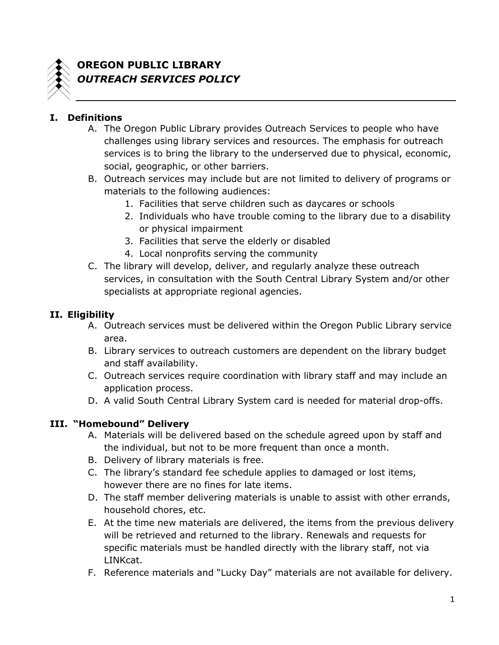

# **OREGON PUBLIC LIBRARY** *OUTREACH SERVICES POLICY*

## **I. Definitions**

- A. The Oregon Public Library provides Outreach Services to people who have challenges using library services and resources. The emphasis for outreach services is to bring the library to the underserved due to physical, economic, social, geographic, or other barriers.
- B. Outreach services may include but are not limited to delivery of programs or materials to the following audiences:
	- 1. Facilities that serve children such as daycares or schools
	- 2. Individuals who have trouble coming to the library due to a disability or physical impairment
	- 3. Facilities that serve the elderly or disabled
	- 4. Local nonprofits serving the community
- C. The library will develop, deliver, and regularly analyze these outreach services, in consultation with the South Central Library System and/or other specialists at appropriate regional agencies.

### **II. Eligibility**

- A. Outreach services must be delivered within the Oregon Public Library service area.
- B. Library services to outreach customers are dependent on the library budget and staff availability.
- C. Outreach services require coordination with library staff and may include an application process.
- D. A valid South Central Library System card is needed for material drop-offs.

### **III. "Homebound" Delivery**

- A. Materials will be delivered based on the schedule agreed upon by staff and the individual, but not to be more frequent than once a month.
- B. Delivery of library materials is free.
- C. The library's standard fee schedule applies to damaged or lost items, however there are no fines for late items.
- D. The staff member delivering materials is unable to assist with other errands, household chores, etc.
- E. At the time new materials are delivered, the items from the previous delivery will be retrieved and returned to the library. Renewals and requests for specific materials must be handled directly with the library staff, not via LINKcat.
- F. Reference materials and "Lucky Day" materials are not available for delivery.